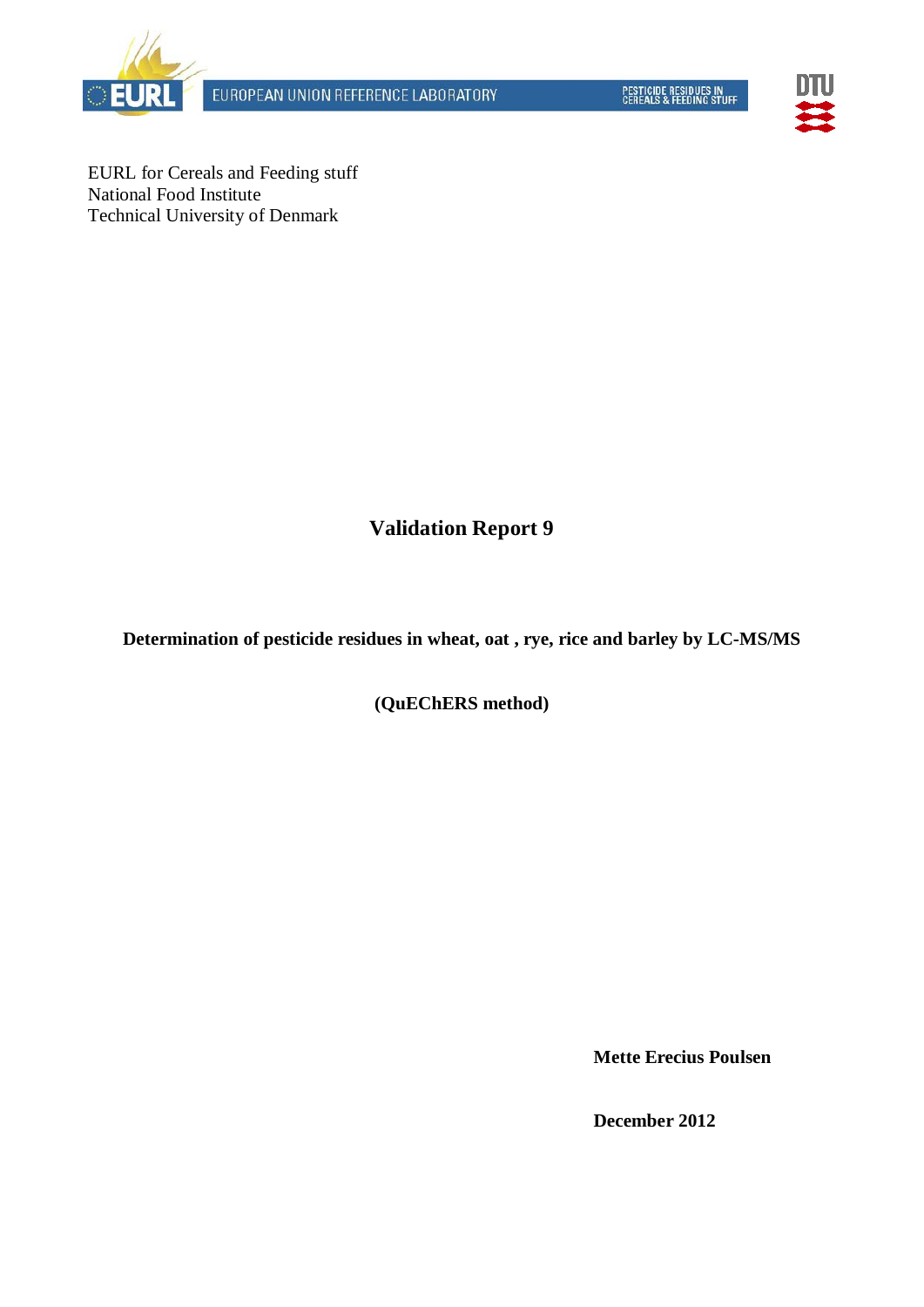



EURL for Cereals and Feeding stuff National Food Institute Technical University of Denmark

**Validation Report 9**

**Determination of pesticide residues in wheat, oat , rye, rice and barley by LC-MS/MS**

**(QuEChERS method)**

**Mette Erecius Poulsen**

**December 2012**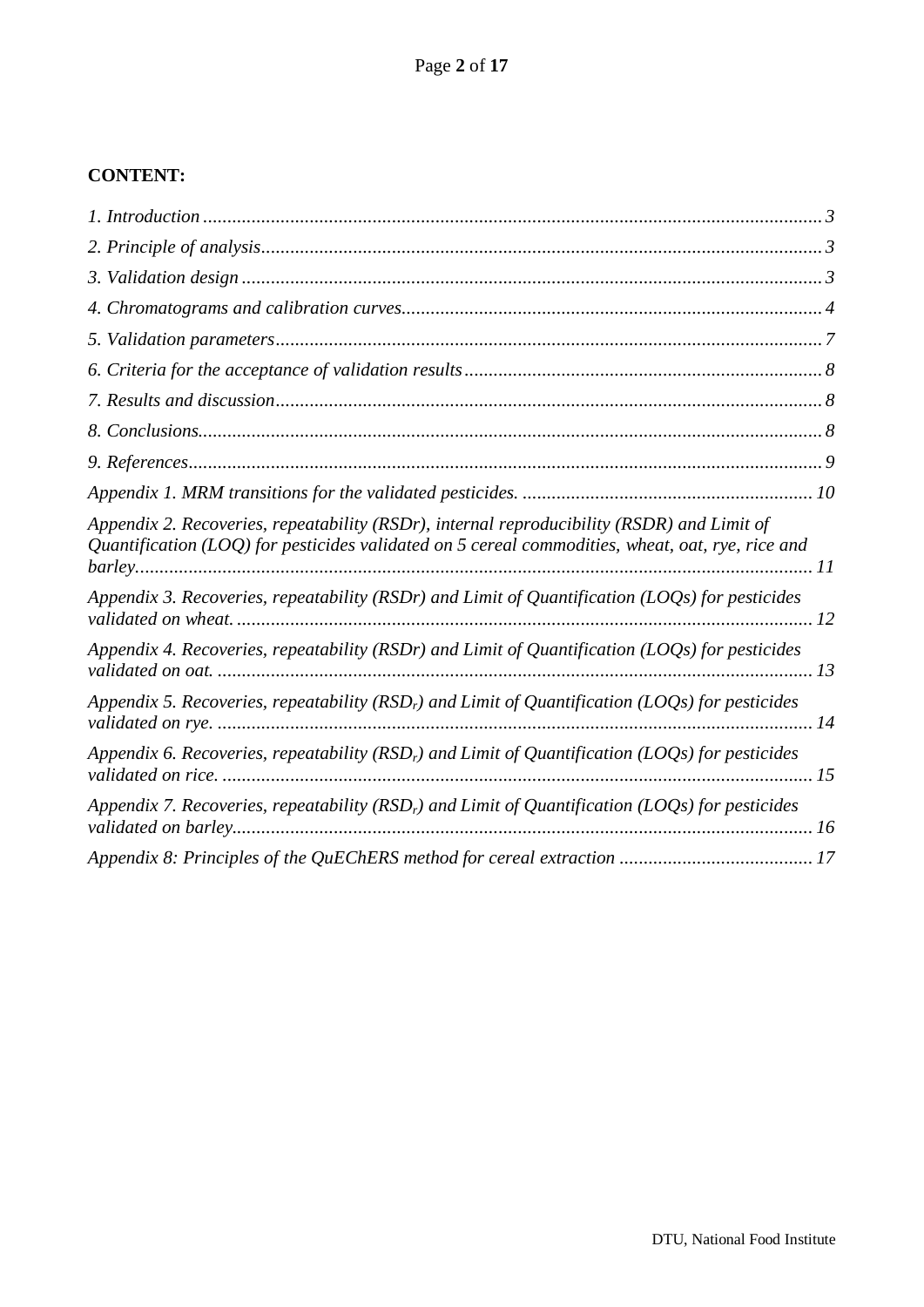## **CONTENT:**

| Appendix 2. Recoveries, repeatability (RSDr), internal reproducibility (RSDR) and Limit of<br>Quantification (LOQ) for pesticides validated on 5 cereal commodities, wheat, oat, rye, rice and |  |
|------------------------------------------------------------------------------------------------------------------------------------------------------------------------------------------------|--|
| Appendix 3. Recoveries, repeatability (RSDr) and Limit of Quantification (LOQs) for pesticides                                                                                                 |  |
| Appendix 4. Recoveries, repeatability (RSDr) and Limit of Quantification (LOQs) for pesticides                                                                                                 |  |
| Appendix 5. Recoveries, repeatability (RSD <sub>r</sub> ) and Limit of Quantification (LOQs) for pesticides                                                                                    |  |
| Appendix 6. Recoveries, repeatability (RSD <sub>r</sub> ) and Limit of Quantification (LOQs) for pesticides                                                                                    |  |
| Appendix 7. Recoveries, repeatability (RSD <sub>r</sub> ) and Limit of Quantification (LOQs) for pesticides                                                                                    |  |
|                                                                                                                                                                                                |  |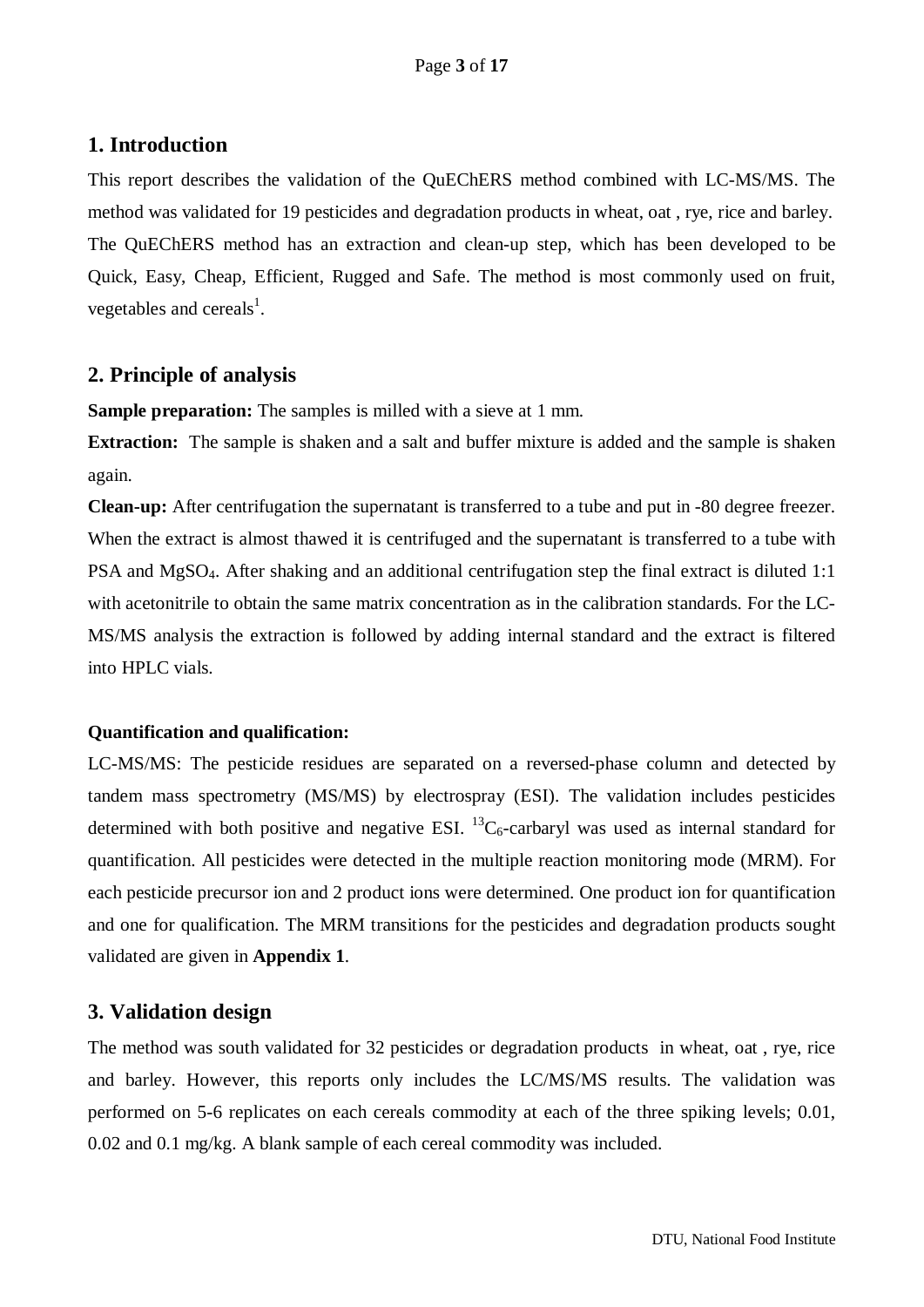#### <span id="page-2-0"></span>**1. Introduction**

This report describes the validation of the QuEChERS method combined with LC-MS/MS. The method was validated for 19 pesticides and degradation products in wheat, oat , rye, rice and barley. The QuEChERS method has an extraction and clean-up step, which has been developed to be Quick, Easy, Cheap, Efficient, Rugged and Safe. The method is most commonly used on fruit, vegetables and cereals<sup>1</sup>.

#### <span id="page-2-1"></span>**2. Principle of analysis**

**Sample preparation:** The samples is milled with a sieve at 1 mm.

**Extraction:** The sample is shaken and a salt and buffer mixture is added and the sample is shaken again.

**Clean-up:** After centrifugation the supernatant is transferred to a tube and put in -80 degree freezer. When the extract is almost thawed it is centrifuged and the supernatant is transferred to a tube with PSA and MgSO4. After shaking and an additional centrifugation step the final extract is diluted 1:1 with acetonitrile to obtain the same matrix concentration as in the calibration standards. For the LC-MS/MS analysis the extraction is followed by adding internal standard and the extract is filtered into HPLC vials.

#### **Quantification and qualification:**

LC-MS/MS: The pesticide residues are separated on a reversed-phase column and detected by tandem mass spectrometry (MS/MS) by electrospray (ESI). The validation includes pesticides determined with both positive and negative ESI.  ${}^{13}C_6$ -carbaryl was used as internal standard for quantification. All pesticides were detected in the multiple reaction monitoring mode (MRM). For each pesticide precursor ion and 2 product ions were determined. One product ion for quantification and one for qualification. The MRM transitions for the pesticides and degradation products sought validated are given in **Appendix 1**.

## <span id="page-2-2"></span>**3. Validation design**

The method was south validated for 32 pesticides or degradation products in wheat, oat , rye, rice and barley. However, this reports only includes the LC/MS/MS results. The validation was performed on 5-6 replicates on each cereals commodity at each of the three spiking levels; 0.01, 0.02 and 0.1 mg/kg. A blank sample of each cereal commodity was included.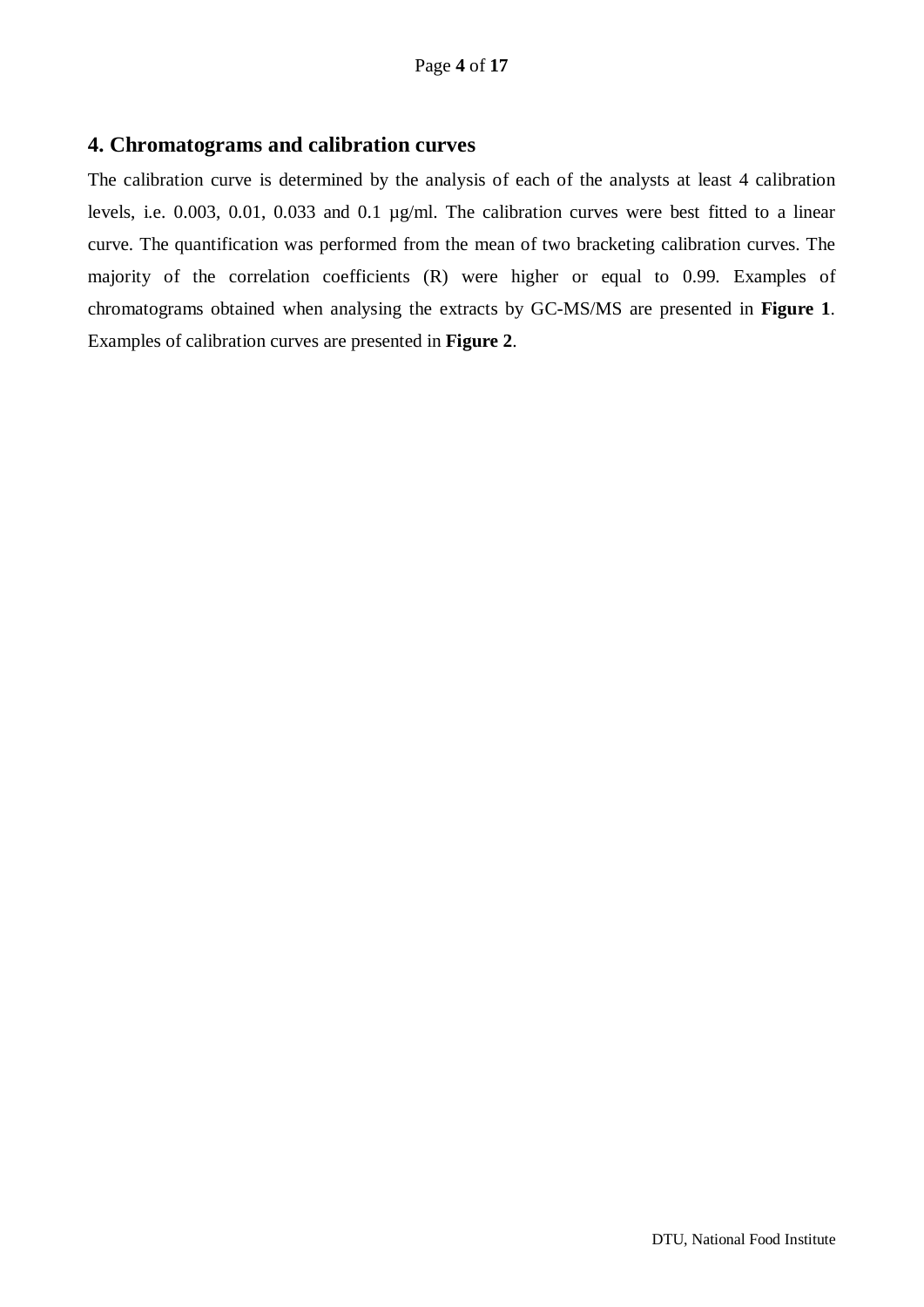#### <span id="page-3-0"></span>**4. Chromatograms and calibration curves**

The calibration curve is determined by the analysis of each of the analysts at least 4 calibration levels, i.e. 0.003, 0.01, 0.033 and 0.1 µg/ml. The calibration curves were best fitted to a linear curve. The quantification was performed from the mean of two bracketing calibration curves. The majority of the correlation coefficients (R) were higher or equal to 0.99. Examples of chromatograms obtained when analysing the extracts by GC-MS/MS are presented in **Figure 1**. Examples of calibration curves are presented in **Figure 2**.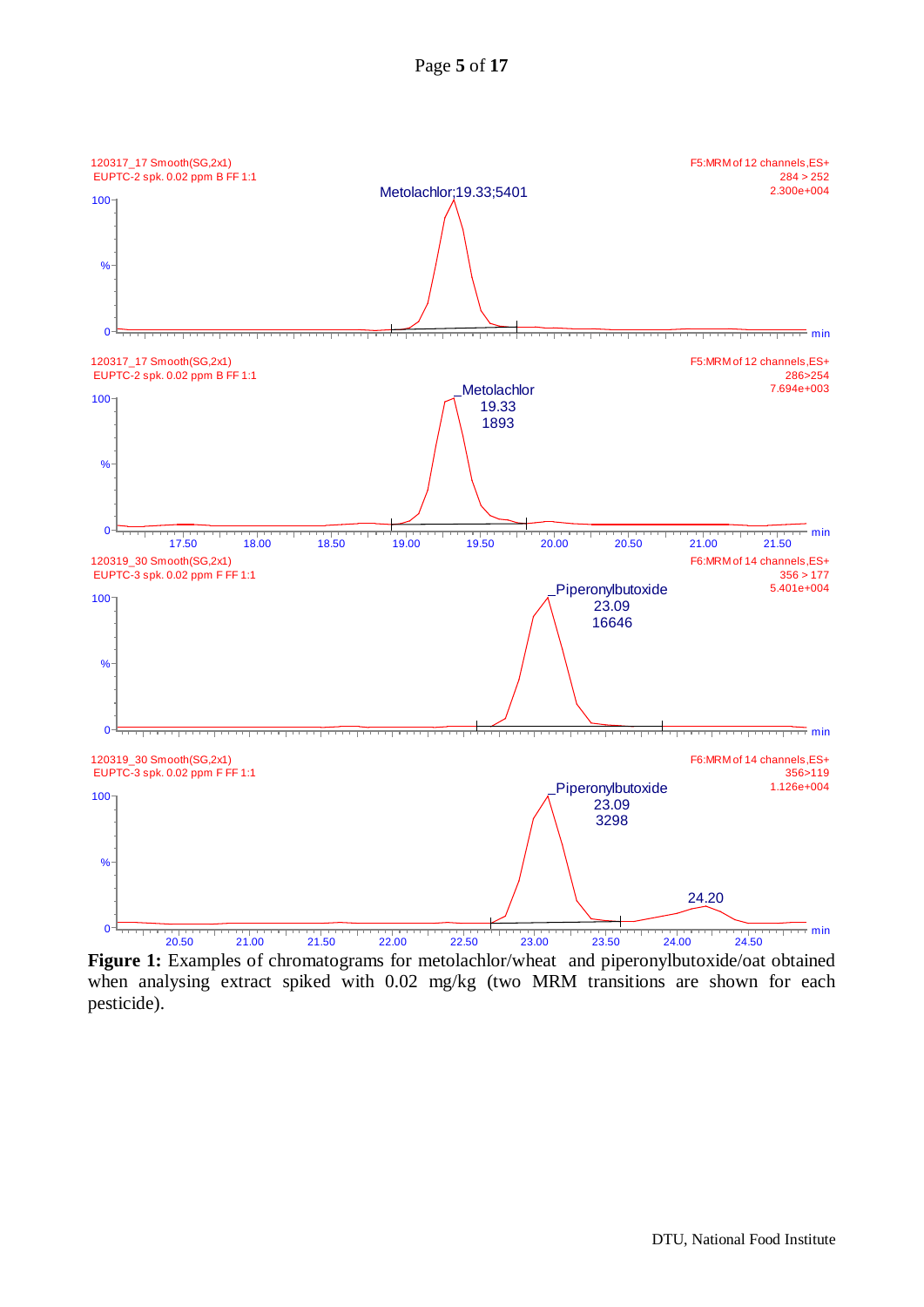

**Figure 1:** Examples of chromatograms for metolachlor/wheat and piperonylbutoxide/oat obtained when analysing extract spiked with 0.02 mg/kg (two MRM transitions are shown for each pesticide).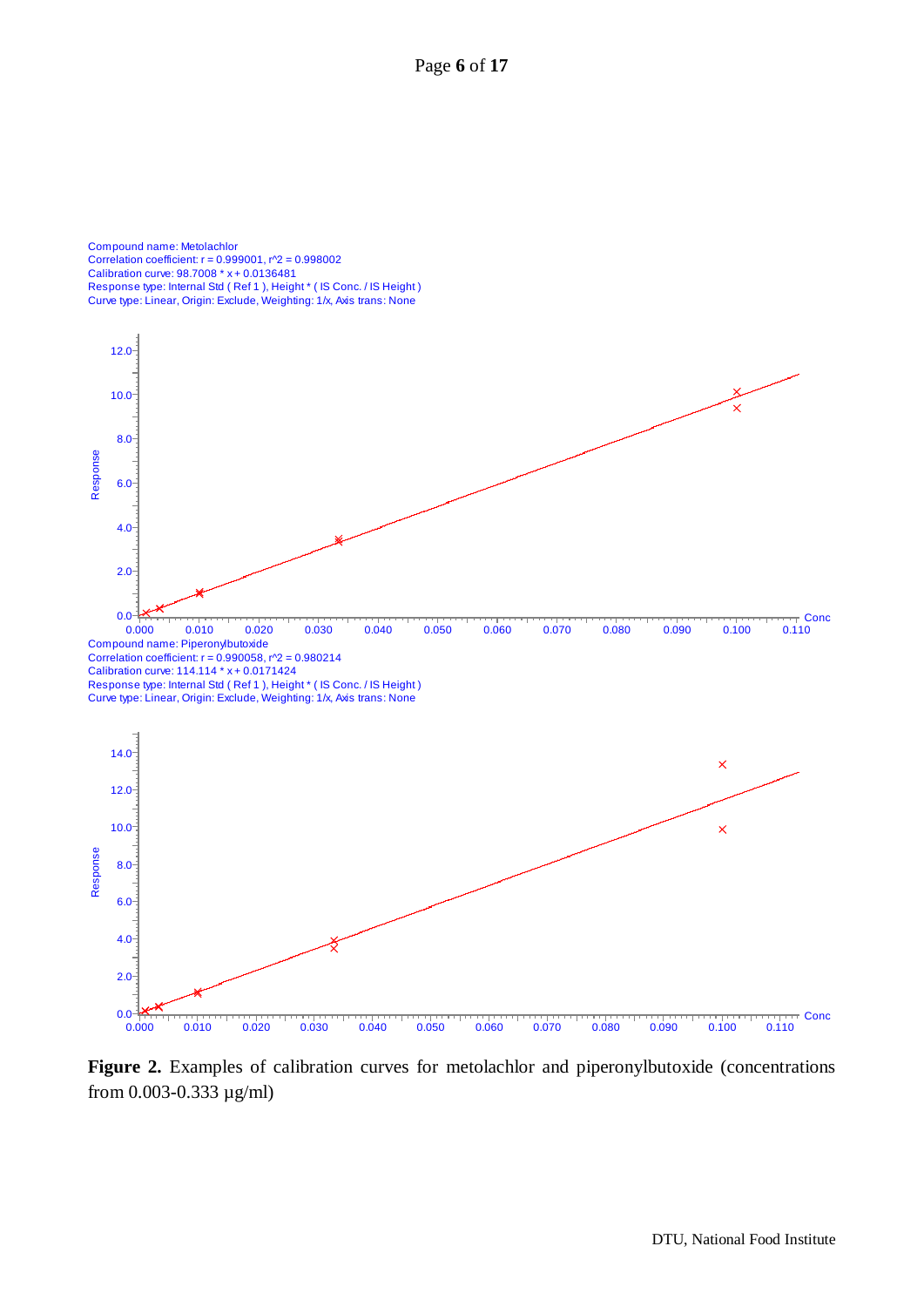Page **6** of **17**

Compound name: Metolachlor Correlation coefficient: r = 0.999001, r^2 = 0.998002 Calibration curve: 98.7008 \* x + 0.0136481 Response type: Internal Std ( Ref 1 ), Height \* ( IS Conc. / IS Height ) Curve type: Linear, Origin: Exclude, Weighting: 1/x, Axis trans: None



**Figure 2.** Examples of calibration curves for metolachlor and piperonylbutoxide (concentrations from 0.003-0.333 µg/ml)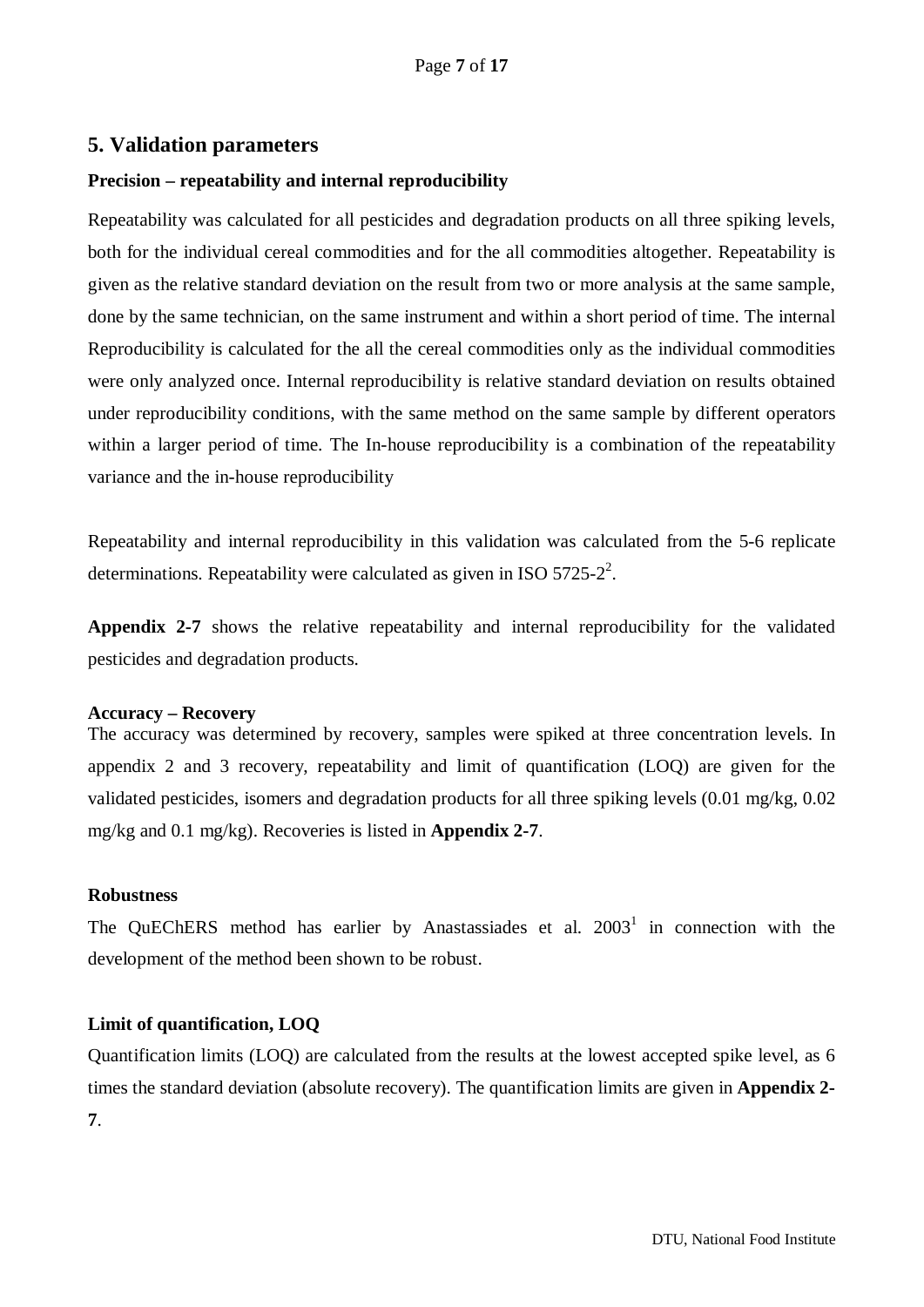#### <span id="page-6-0"></span>**5. Validation parameters**

#### **Precision – repeatability and internal reproducibility**

Repeatability was calculated for all pesticides and degradation products on all three spiking levels, both for the individual cereal commodities and for the all commodities altogether. Repeatability is given as the relative standard deviation on the result from two or more analysis at the same sample, done by the same technician, on the same instrument and within a short period of time. The internal Reproducibility is calculated for the all the cereal commodities only as the individual commodities were only analyzed once. Internal reproducibility is relative standard deviation on results obtained under reproducibility conditions, with the same method on the same sample by different operators within a larger period of time. The In-house reproducibility is a combination of the repeatability variance and the in-house reproducibility

Repeatability and internal reproducibility in this validation was calculated from the 5-6 replicate determinations. Repeatability were calculated as given in ISO  $5725-2^2$ .

**Appendix 2-7** shows the relative repeatability and internal reproducibility for the validated pesticides and degradation products.

#### **Accuracy – Recovery**

The accuracy was determined by recovery, samples were spiked at three concentration levels. In appendix 2 and 3 recovery, repeatability and limit of quantification (LOQ) are given for the validated pesticides, isomers and degradation products for all three spiking levels (0.01 mg/kg, 0.02 mg/kg and 0.1 mg/kg). Recoveries is listed in **Appendix 2-7**.

#### **Robustness**

The QuEChERS method has earlier by Anastassiades et al.  $2003<sup>1</sup>$  in connection with the development of the method been shown to be robust.

#### **Limit of quantification, LOQ**

Quantification limits (LOQ) are calculated from the results at the lowest accepted spike level, as 6 times the standard deviation (absolute recovery). The quantification limits are given in **Appendix 2- 7**.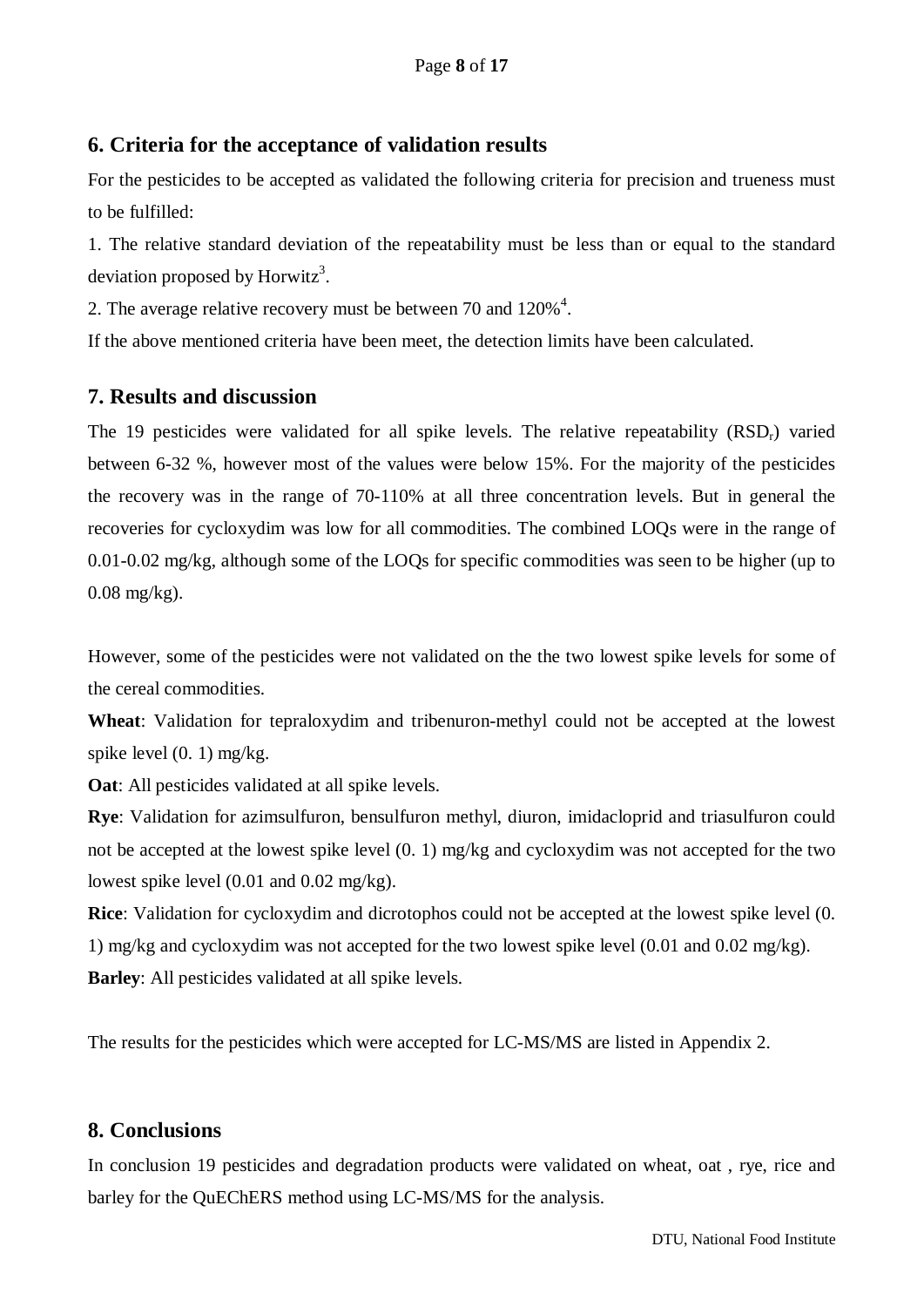## <span id="page-7-0"></span>**6. Criteria for the acceptance of validation results**

For the pesticides to be accepted as validated the following criteria for precision and trueness must to be fulfilled:

1. The relative standard deviation of the repeatability must be less than or equal to the standard deviation proposed by Horwitz<sup>3</sup>.

2. The average relative recovery must be between 70 and  $120\%$ <sup>4</sup>.

If the above mentioned criteria have been meet, the detection limits have been calculated.

## <span id="page-7-1"></span>**7. Results and discussion**

The 19 pesticides were validated for all spike levels. The relative repeatability  $(RSD<sub>r</sub>)$  varied between 6-32 %, however most of the values were below 15%. For the majority of the pesticides the recovery was in the range of 70-110% at all three concentration levels. But in general the recoveries for cycloxydim was low for all commodities. The combined LOQs were in the range of 0.01-0.02 mg/kg, although some of the LOQs for specific commodities was seen to be higher (up to 0.08 mg/kg).

However, some of the pesticides were not validated on the the two lowest spike levels for some of the cereal commodities.

**Wheat**: Validation for tepraloxydim and tribenuron-methyl could not be accepted at the lowest spike level  $(0, 1)$  mg/kg.

**Oat**: All pesticides validated at all spike levels.

**Rye**: Validation for azimsulfuron, bensulfuron methyl, diuron, imidacloprid and triasulfuron could not be accepted at the lowest spike level (0. 1) mg/kg and cycloxydim was not accepted for the two lowest spike level (0.01 and 0.02 mg/kg).

**Rice**: Validation for cycloxydim and dicrotophos could not be accepted at the lowest spike level (0. 1) mg/kg and cycloxydim was not accepted for the two lowest spike level (0.01 and 0.02 mg/kg). **Barley**: All pesticides validated at all spike levels.

The results for the pesticides which were accepted for LC-MS/MS are listed in Appendix 2.

## <span id="page-7-2"></span>**8. Conclusions**

In conclusion 19 pesticides and degradation products were validated on wheat, oat , rye, rice and barley for the QuEChERS method using LC-MS/MS for the analysis.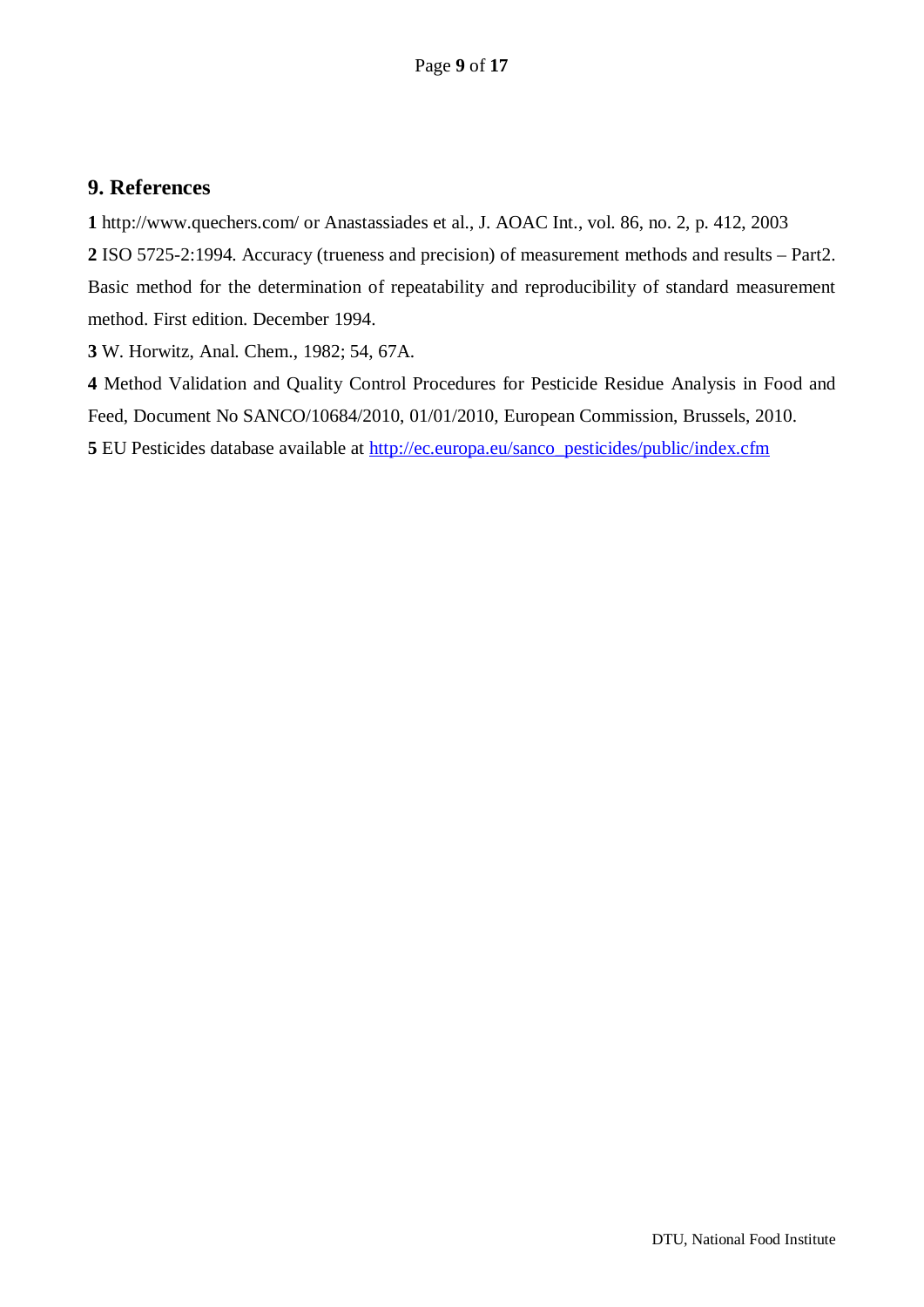#### <span id="page-8-0"></span>**9. References**

**1** http://www.quechers.com/ or Anastassiades et al., J. AOAC Int., vol. 86, no. 2, p. 412, 2003

**2** ISO 5725-2:1994. Accuracy (trueness and precision) of measurement methods and results – Part2. Basic method for the determination of repeatability and reproducibility of standard measurement method. First edition. December 1994.

**3** W. Horwitz, Anal. Chem., 1982; 54, 67A.

**4** Method Validation and Quality Control Procedures for Pesticide Residue Analysis in Food and Feed, Document No SANCO/10684/2010, 01/01/2010, European Commission, Brussels, 2010. **5** EU Pesticides database available at [http://ec.europa.eu/sanco\\_pesticides/public/index.cfm](http://ec.europa.eu/sanco_pesticides/public/index.cfm)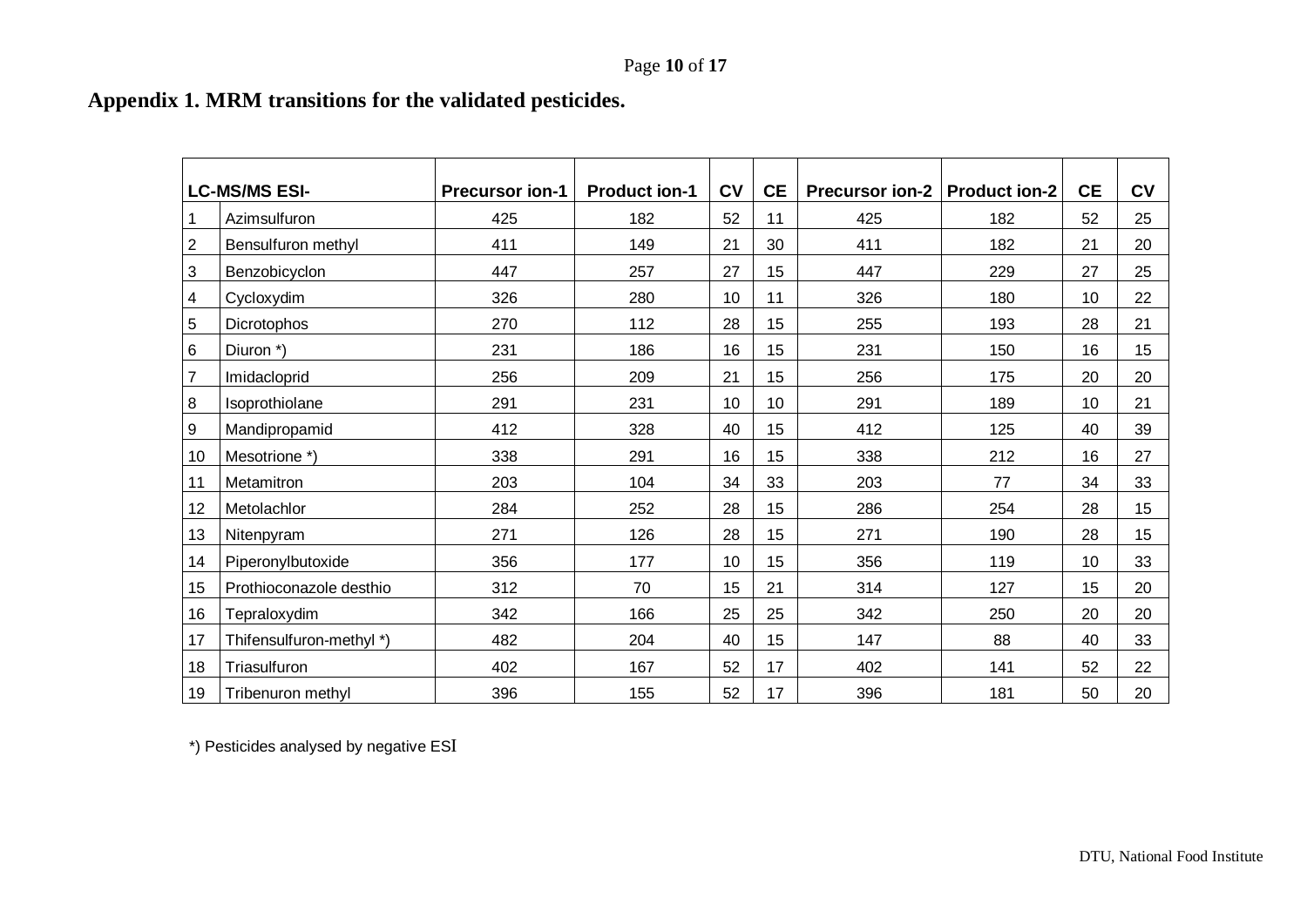# **Appendix 1. MRM transitions for the validated pesticides.**

<span id="page-9-0"></span>

|                | <b>LC-MS/MS ESI-</b>     | <b>Precursor ion-1</b> | <b>Product ion-1</b> | <b>CV</b> | <b>CE</b> | Precursor ion-2   Product ion-2 |     | <b>CE</b> | CV |
|----------------|--------------------------|------------------------|----------------------|-----------|-----------|---------------------------------|-----|-----------|----|
|                | Azimsulfuron             | 425                    | 182                  | 52        | 11        | 425                             | 182 | 52        | 25 |
| $\overline{2}$ | Bensulfuron methyl       | 411                    | 149                  | 21        | 30        | 411                             | 182 | 21        | 20 |
| 3              | Benzobicyclon            | 447                    | 257                  | 27        | 15        | 447                             | 229 | 27        | 25 |
| 4              | Cycloxydim               | 326                    | 280                  | 10        | 11        | 326                             | 180 | 10        | 22 |
| 5              | Dicrotophos              | 270                    | 112                  | 28        | 15        | 255                             | 193 | 28        | 21 |
| 6              | Diuron *)                | 231                    | 186                  | 16        | 15        | 231                             | 150 | 16        | 15 |
| $\overline{7}$ | Imidacloprid             | 256                    | 209                  | 21        | 15        | 256                             | 175 | 20        | 20 |
| 8              | Isoprothiolane           | 291                    | 231                  | 10        | 10        | 291                             | 189 | 10        | 21 |
| 9              | Mandipropamid            | 412                    | 328                  | 40        | 15        | 412                             | 125 | 40        | 39 |
| 10             | Mesotrione *)            | 338                    | 291                  | 16        | 15        | 338                             | 212 | 16        | 27 |
| 11             | Metamitron               | 203                    | 104                  | 34        | 33        | 203                             | 77  | 34        | 33 |
| 12             | Metolachlor              | 284                    | 252                  | 28        | 15        | 286                             | 254 | 28        | 15 |
| 13             | Nitenpyram               | 271                    | 126                  | 28        | 15        | 271                             | 190 | 28        | 15 |
| 14             | Piperonylbutoxide        | 356                    | 177                  | 10        | 15        | 356                             | 119 | 10        | 33 |
| 15             | Prothioconazole desthio  | 312                    | 70                   | 15        | 21        | 314                             | 127 | 15        | 20 |
| 16             | Tepraloxydim             | 342                    | 166                  | 25        | 25        | 342                             | 250 | 20        | 20 |
| 17             | Thifensulfuron-methyl *) | 482                    | 204                  | 40        | 15        | 147                             | 88  | 40        | 33 |
| 18             | Triasulfuron             | 402                    | 167                  | 52        | 17        | 402                             | 141 | 52        | 22 |
| 19             | Tribenuron methyl        | 396                    | 155                  | 52        | 17        | 396                             | 181 | 50        | 20 |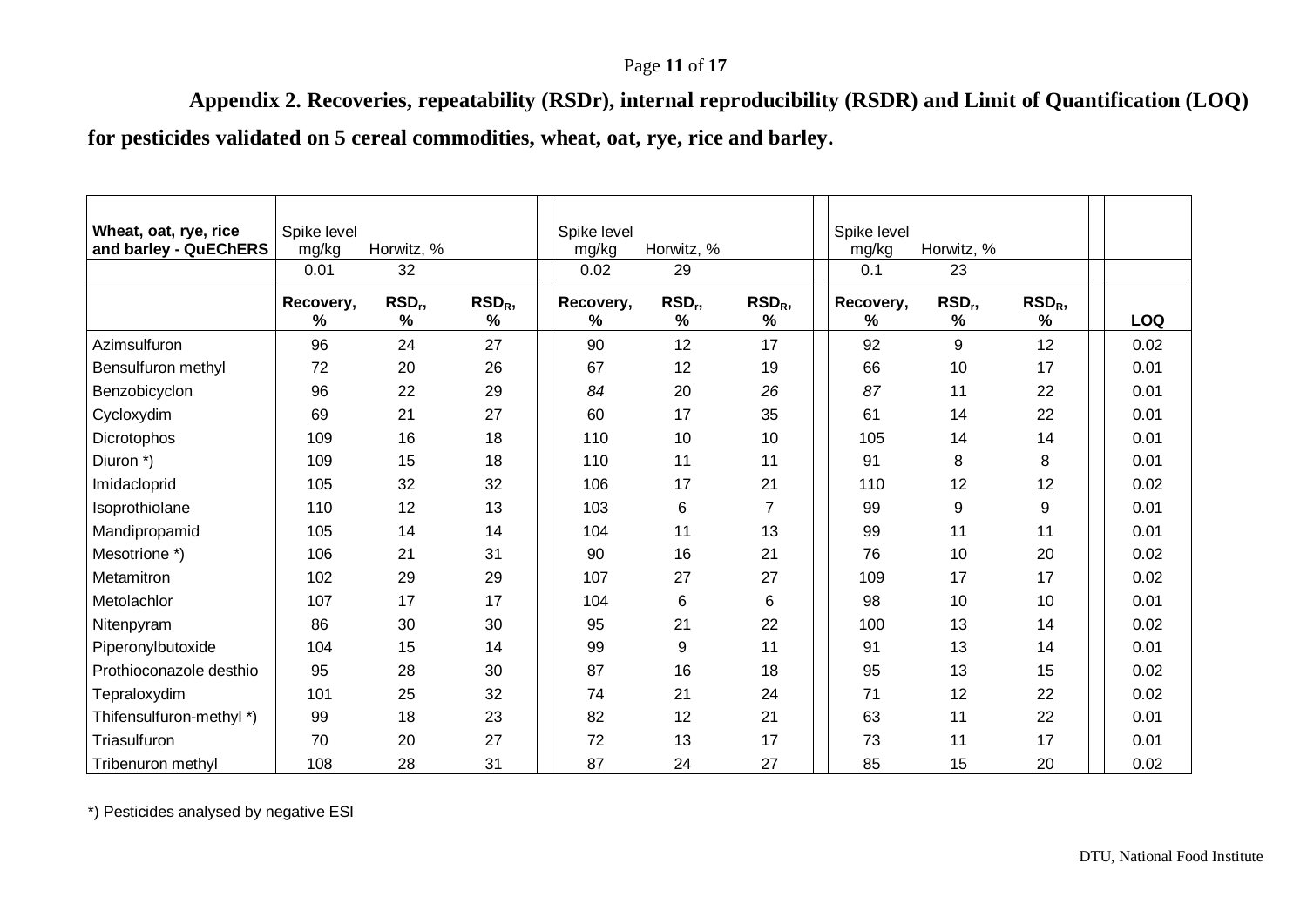## Page **11** of **17**

**Appendix 2. Recoveries, repeatability (RSDr), internal reproducibility (RSDR) and Limit of Quantification (LOQ)**

**for pesticides validated on 5 cereal commodities, wheat, oat, rye, rice and barley.**

<span id="page-10-0"></span>

| Wheat, oat, rye, rice<br>and barley - QuEChERS | Spike level<br>mg/kg       | Horwitz, %                 |                          | Spike level<br>mg/kg | Horwitz, %                 |                       | Spike level<br>mg/kg | Horwitz, %   |                       |            |
|------------------------------------------------|----------------------------|----------------------------|--------------------------|----------------------|----------------------------|-----------------------|----------------------|--------------|-----------------------|------------|
|                                                | 0.01                       | 32                         |                          | 0.02                 | 29                         |                       | 0.1                  | 23           |                       |            |
|                                                | Recovery,<br>$\frac{9}{6}$ | RSD <sub>r</sub> ,<br>$\%$ | RSD <sub>R</sub><br>$\%$ | Recovery,<br>%       | RSD <sub>r</sub> ,<br>$\%$ | RSD <sub>R</sub><br>% | Recovery,<br>%       | $RSD_r$<br>% | RSD <sub>R</sub><br>% | <b>LOQ</b> |
| Azimsulfuron                                   | 96                         | 24                         | 27                       | 90                   | 12                         | 17                    | 92                   | 9            | 12                    | 0.02       |
| Bensulfuron methyl                             | 72                         | 20                         | 26                       | 67                   | 12                         | 19                    | 66                   | 10           | 17                    | 0.01       |
| Benzobicyclon                                  | 96                         | 22                         | 29                       | 84                   | 20                         | 26                    | 87                   | 11           | 22                    | 0.01       |
| Cycloxydim                                     | 69                         | 21                         | 27                       | 60                   | 17                         | 35                    | 61                   | 14           | 22                    | 0.01       |
| Dicrotophos                                    | 109                        | 16                         | 18                       | 110                  | 10                         | 10                    | 105                  | 14           | 14                    | 0.01       |
| Diuron *)                                      | 109                        | 15                         | 18                       | 110                  | 11                         | 11                    | 91                   | 8            | 8                     | 0.01       |
| Imidacloprid                                   | 105                        | 32                         | 32                       | 106                  | 17                         | 21                    | 110                  | 12           | 12                    | 0.02       |
| Isoprothiolane                                 | 110                        | 12                         | 13                       | 103                  | 6                          | $\overline{7}$        | 99                   | 9            | 9                     | 0.01       |
| Mandipropamid                                  | 105                        | 14                         | 14                       | 104                  | 11                         | 13                    | 99                   | 11           | 11                    | 0.01       |
| Mesotrione *)                                  | 106                        | 21                         | 31                       | 90                   | 16                         | 21                    | 76                   | 10           | 20                    | 0.02       |
| Metamitron                                     | 102                        | 29                         | 29                       | 107                  | 27                         | 27                    | 109                  | 17           | 17                    | 0.02       |
| Metolachlor                                    | 107                        | 17                         | 17                       | 104                  | $\,6\,$                    | 6                     | 98                   | 10           | 10                    | 0.01       |
| Nitenpyram                                     | 86                         | 30                         | 30                       | 95                   | 21                         | 22                    | 100                  | 13           | 14                    | 0.02       |
| Piperonylbutoxide                              | 104                        | 15                         | 14                       | 99                   | 9                          | 11                    | 91                   | 13           | 14                    | 0.01       |
| Prothioconazole desthio                        | 95                         | 28                         | 30                       | 87                   | 16                         | 18                    | 95                   | 13           | 15                    | 0.02       |
| Tepraloxydim                                   | 101                        | 25                         | 32                       | 74                   | 21                         | 24                    | 71                   | 12           | 22                    | 0.02       |
| Thifensulfuron-methyl *)                       | 99                         | 18                         | 23                       | 82                   | 12                         | 21                    | 63                   | 11           | 22                    | 0.01       |
| Triasulfuron                                   | 70                         | 20                         | 27                       | 72                   | 13                         | 17                    | 73                   | 11           | 17                    | 0.01       |
| Tribenuron methyl                              | 108                        | 28                         | 31                       | 87                   | 24                         | 27                    | 85                   | 15           | 20                    | 0.02       |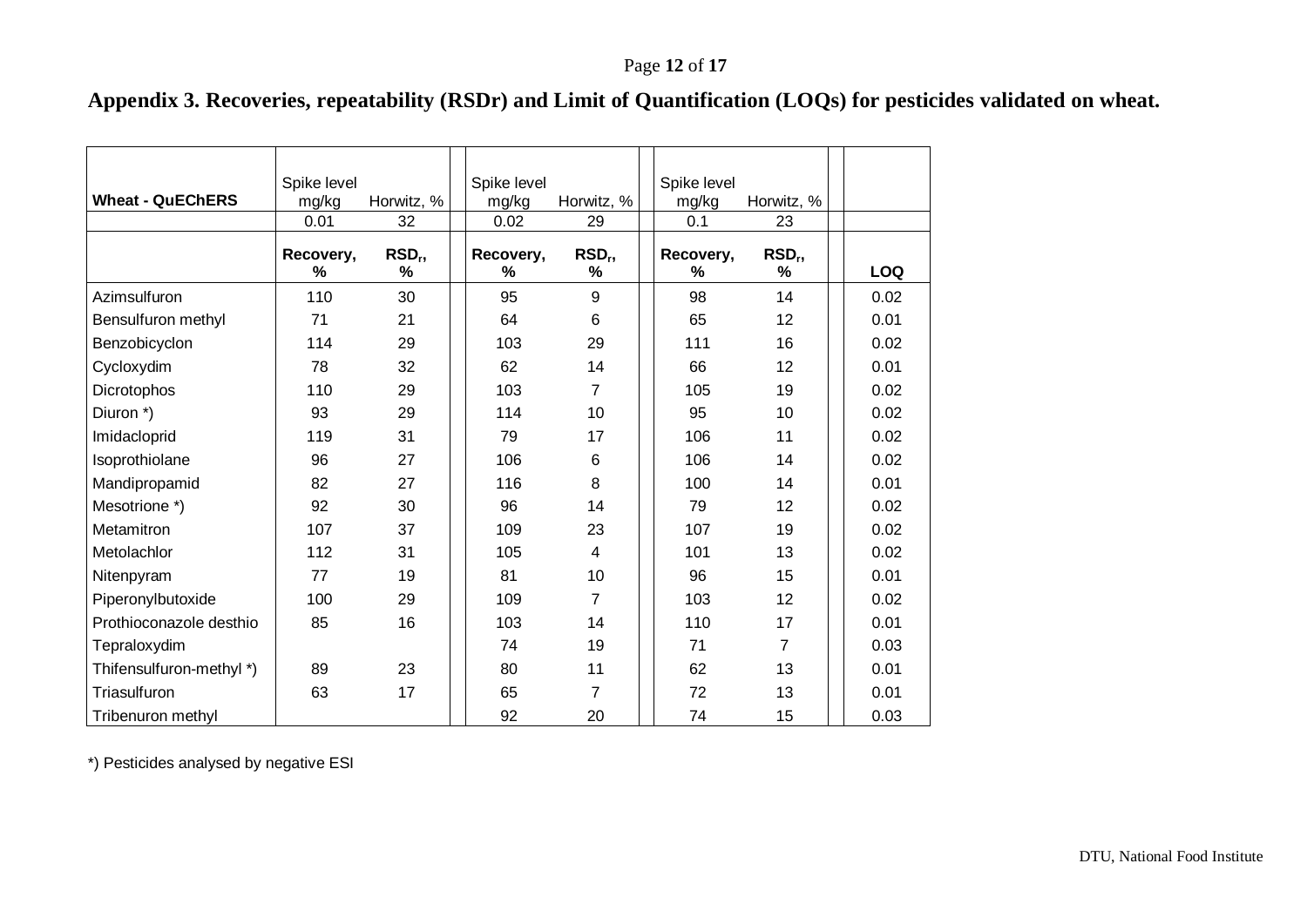## **Appendix 3. Recoveries, repeatability (RSDr) and Limit of Quantification (LOQs) for pesticides validated on wheat.**

<span id="page-11-0"></span>

| <b>Wheat - QuEChERS</b>  | Spike level<br>mg/kg | Horwitz, %            | Spike level<br>mg/kg | Horwitz, %              | Spike level<br>mg/kg | Horwitz, %            |            |
|--------------------------|----------------------|-----------------------|----------------------|-------------------------|----------------------|-----------------------|------------|
|                          | 0.01                 | 32                    | 0.02                 | 29                      | 0.1                  | 23                    |            |
|                          | Recovery,<br>%       | RSD <sub>r</sub><br>% | Recovery,<br>%       | RSD <sub>r</sub> ,<br>% | Recovery,<br>%       | RSD <sub>r</sub><br>% | <b>LOQ</b> |
| Azimsulfuron             | 110                  | 30                    | 95                   | 9                       | 98                   | 14                    | 0.02       |
| Bensulfuron methyl       | 71                   | 21                    | 64                   | 6                       | 65                   | 12                    | 0.01       |
| Benzobicyclon            | 114                  | 29                    | 103                  | 29                      | 111                  | 16                    | 0.02       |
| Cycloxydim               | 78                   | 32                    | 62                   | 14                      | 66                   | 12                    | 0.01       |
| Dicrotophos              | 110                  | 29                    | 103                  | $\overline{7}$          | 105                  | 19                    | 0.02       |
| Diuron *)                | 93                   | 29                    | 114                  | 10                      | 95                   | 10                    | 0.02       |
| Imidacloprid             | 119                  | 31                    | 79                   | 17                      | 106                  | 11                    | 0.02       |
| Isoprothiolane           | 96                   | 27                    | 106                  | 6                       | 106                  | 14                    | 0.02       |
| Mandipropamid            | 82                   | 27                    | 116                  | 8                       | 100                  | 14                    | 0.01       |
| Mesotrione *)            | 92                   | 30                    | 96                   | 14                      | 79                   | 12                    | 0.02       |
| Metamitron               | 107                  | 37                    | 109                  | 23                      | 107                  | 19                    | 0.02       |
| Metolachlor              | 112                  | 31                    | 105                  | $\overline{4}$          | 101                  | 13                    | 0.02       |
| Nitenpyram               | 77                   | 19                    | 81                   | 10                      | 96                   | 15                    | 0.01       |
| Piperonylbutoxide        | 100                  | 29                    | 109                  | $\overline{7}$          | 103                  | 12                    | 0.02       |
| Prothioconazole desthio  | 85                   | 16                    | 103                  | 14                      | 110                  | 17                    | 0.01       |
| Tepraloxydim             |                      |                       | 74                   | 19                      | 71                   | $\overline{7}$        | 0.03       |
| Thifensulfuron-methyl *) | 89                   | 23                    | 80                   | 11                      | 62                   | 13                    | 0.01       |
| Triasulfuron             | 63                   | 17                    | 65                   | 7                       | 72                   | 13                    | 0.01       |
| Tribenuron methyl        |                      |                       | 92                   | 20                      | 74                   | 15                    | 0.03       |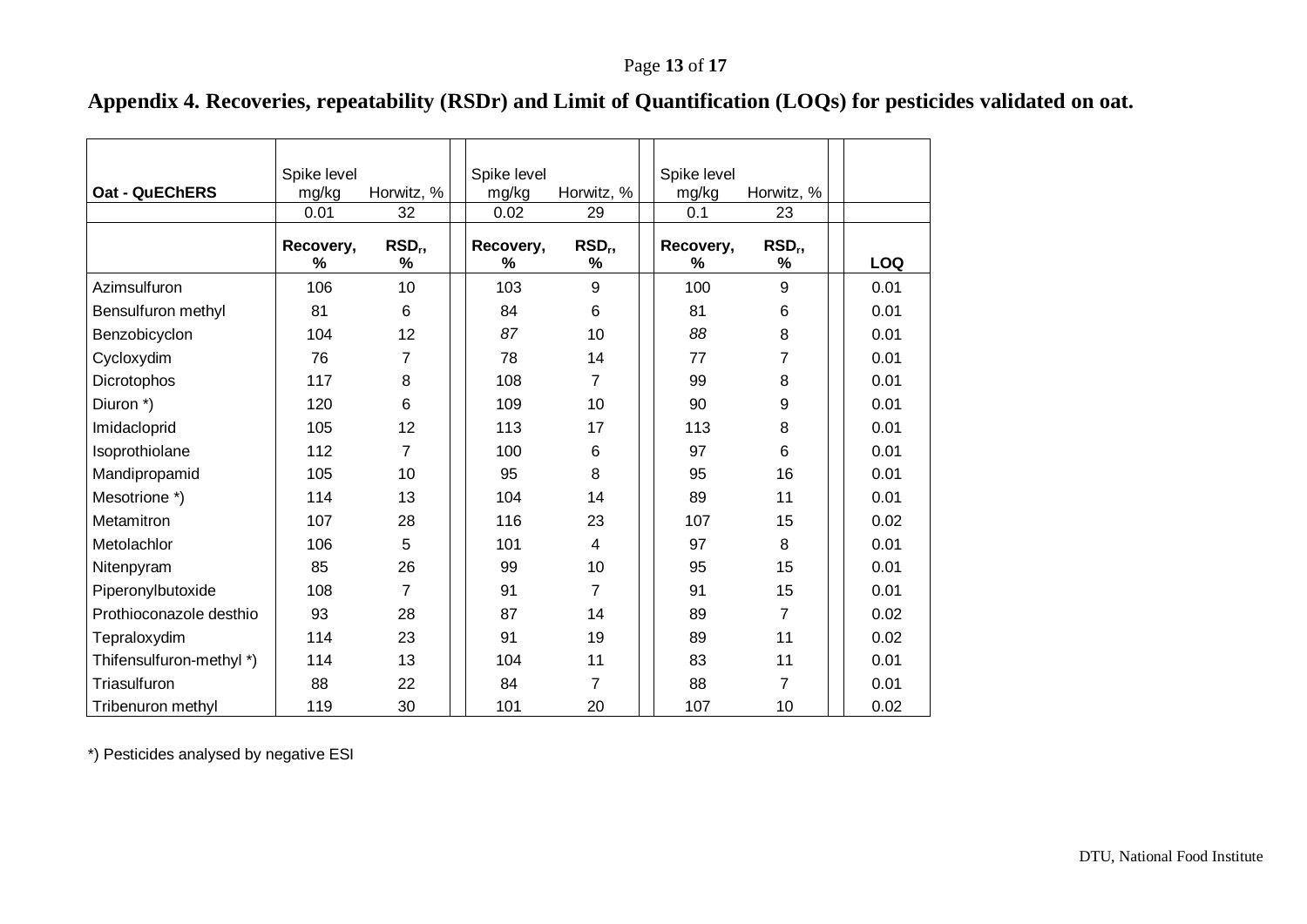# **Appendix 4. Recoveries, repeatability (RSDr) and Limit of Quantification (LOQs) for pesticides validated on oat.**

<span id="page-12-0"></span>

|                          | Spike level       |                         | Spike level    |                         | Spike level    |                         |            |
|--------------------------|-------------------|-------------------------|----------------|-------------------------|----------------|-------------------------|------------|
| <b>Oat - QuEChERS</b>    | mg/kg             | Horwitz, %              | mg/kg          | Horwitz, %              | mg/kg          | Horwitz, %              |            |
|                          | 0.01              | 32                      | 0.02           | 29                      | 0.1            | 23                      |            |
|                          | Recovery,<br>$\%$ | RSD <sub>r</sub> ,<br>% | Recovery,<br>% | RSD <sub>r</sub> ,<br>% | Recovery,<br>% | RSD <sub>r</sub> ,<br>% | <b>LOQ</b> |
| Azimsulfuron             | 106               | 10                      | 103            | 9                       | 100            | 9                       | 0.01       |
| Bensulfuron methyl       | 81                | 6                       | 84             | 6                       | 81             | 6                       | 0.01       |
| Benzobicyclon            | 104               | 12                      | 87             | 10                      | 88             | 8                       | 0.01       |
| Cycloxydim               | 76                | 7                       | 78             | 14                      | 77             | 7                       | 0.01       |
| Dicrotophos              | 117               | 8                       | 108            | $\overline{7}$          | 99             | 8                       | 0.01       |
| Diuron *)                | 120               | 6                       | 109            | 10                      | 90             | 9                       | 0.01       |
| Imidacloprid             | 105               | 12                      | 113            | 17                      | 113            | 8                       | 0.01       |
| Isoprothiolane           | 112               | $\overline{7}$          | 100            | 6                       | 97             | 6                       | 0.01       |
| Mandipropamid            | 105               | 10                      | 95             | 8                       | 95             | 16                      | 0.01       |
| Mesotrione *)            | 114               | 13                      | 104            | 14                      | 89             | 11                      | 0.01       |
| Metamitron               | 107               | 28                      | 116            | 23                      | 107            | 15                      | 0.02       |
| Metolachlor              | 106               | 5                       | 101            | $\overline{4}$          | 97             | 8                       | 0.01       |
| Nitenpyram               | 85                | 26                      | 99             | 10                      | 95             | 15                      | 0.01       |
| Piperonylbutoxide        | 108               | $\overline{7}$          | 91             | $\overline{7}$          | 91             | 15                      | 0.01       |
| Prothioconazole desthio  | 93                | 28                      | 87             | 14                      | 89             | $\overline{7}$          | 0.02       |
| Tepraloxydim             | 114               | 23                      | 91             | 19                      | 89             | 11                      | 0.02       |
| Thifensulfuron-methyl *) | 114               | 13                      | 104            | 11                      | 83             | 11                      | 0.01       |
| Triasulfuron             | 88                | 22                      | 84             | $\overline{7}$          | 88             | 7                       | 0.01       |
| Tribenuron methyl        | 119               | 30                      | 101            | 20                      | 107            | 10                      | 0.02       |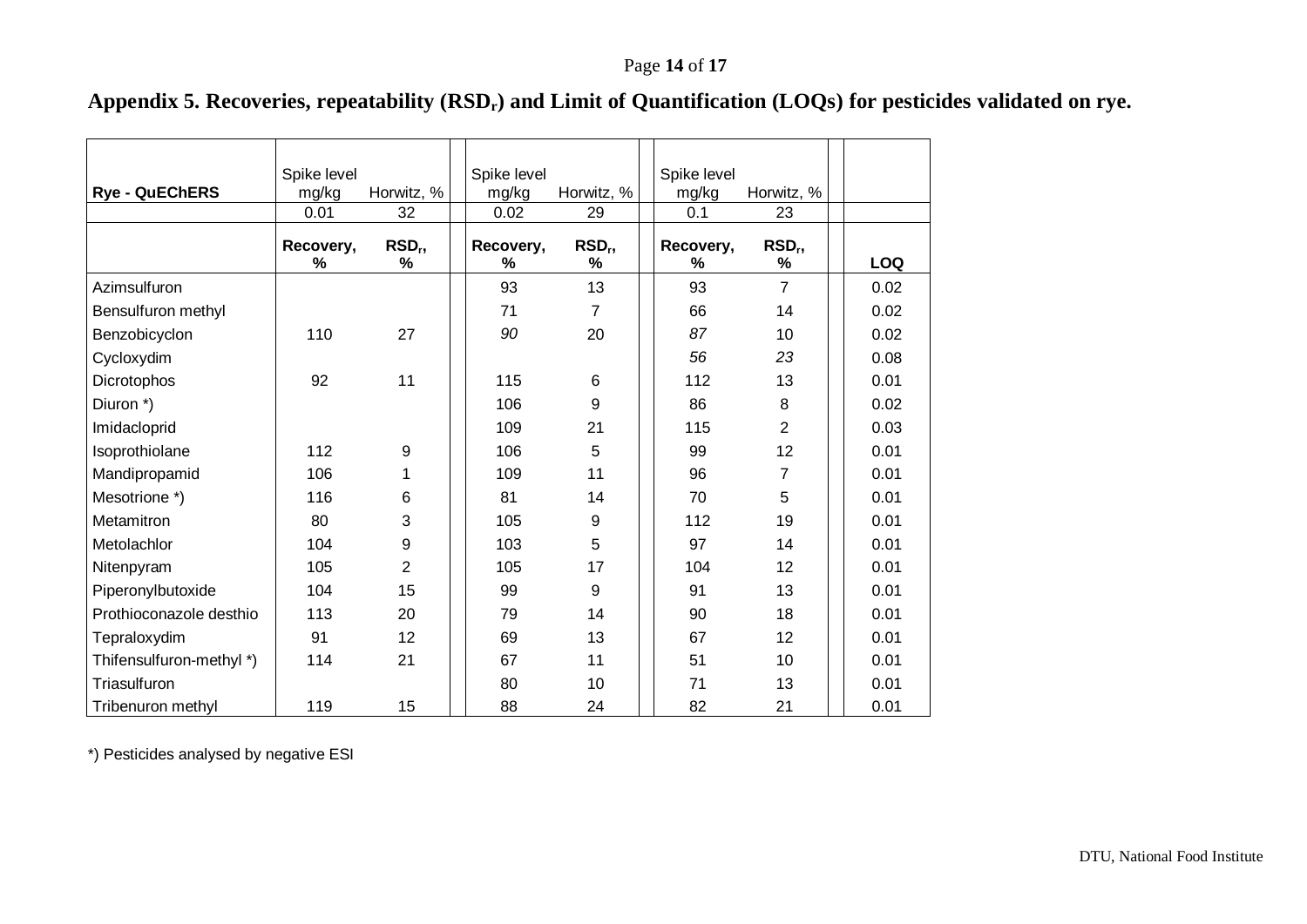# **Appendix 5. Recoveries, repeatability (RSDr) and Limit of Quantification (LOQs) for pesticides validated on rye.**

<span id="page-13-0"></span>

| <b>Rye - QuEChERS</b>    | Spike level<br>mg/kg | Horwitz, %            | Spike level<br>mg/kg | Horwitz, %              | Spike level<br>mg/kg | Horwitz, %              |      |
|--------------------------|----------------------|-----------------------|----------------------|-------------------------|----------------------|-------------------------|------|
|                          | 0.01                 | 32                    | 0.02                 | 29                      | 0.1                  | 23                      |      |
|                          | Recovery,<br>%       | RSD <sub>r</sub><br>% | Recovery,<br>%       | RSD <sub>r</sub> ,<br>% | Recovery,<br>℅       | RSD <sub>r</sub> ,<br>% | LOQ  |
| Azimsulfuron             |                      |                       | 93                   | 13                      | 93                   | $\overline{7}$          | 0.02 |
| Bensulfuron methyl       |                      |                       | 71                   | 7                       | 66                   | 14                      | 0.02 |
| Benzobicyclon            | 110                  | 27                    | 90                   | 20                      | 87                   | 10                      | 0.02 |
| Cycloxydim               |                      |                       |                      |                         | 56                   | 23                      | 0.08 |
| Dicrotophos              | 92                   | 11                    | 115                  | 6                       | 112                  | 13                      | 0.01 |
| Diuron *)                |                      |                       | 106                  | 9                       | 86                   | 8                       | 0.02 |
| Imidacloprid             |                      |                       | 109                  | 21                      | 115                  | $\overline{2}$          | 0.03 |
| Isoprothiolane           | 112                  | 9                     | 106                  | 5                       | 99                   | 12                      | 0.01 |
| Mandipropamid            | 106                  |                       | 109                  | 11                      | 96                   | 7                       | 0.01 |
| Mesotrione *)            | 116                  | 6                     | 81                   | 14                      | 70                   | 5                       | 0.01 |
| Metamitron               | 80                   | 3                     | 105                  | 9                       | 112                  | 19                      | 0.01 |
| Metolachlor              | 104                  | 9                     | 103                  | 5                       | 97                   | 14                      | 0.01 |
| Nitenpyram               | 105                  | $\overline{2}$        | 105                  | 17                      | 104                  | 12                      | 0.01 |
| Piperonylbutoxide        | 104                  | 15                    | 99                   | 9                       | 91                   | 13                      | 0.01 |
| Prothioconazole desthio  | 113                  | 20                    | 79                   | 14                      | 90                   | 18                      | 0.01 |
| Tepraloxydim             | 91                   | 12                    | 69                   | 13                      | 67                   | 12                      | 0.01 |
| Thifensulfuron-methyl *) | 114                  | 21                    | 67                   | 11                      | 51                   | 10                      | 0.01 |
| Triasulfuron             |                      |                       | 80                   | 10                      | 71                   | 13                      | 0.01 |
| Tribenuron methyl        | 119                  | 15                    | 88                   | 24                      | 82                   | 21                      | 0.01 |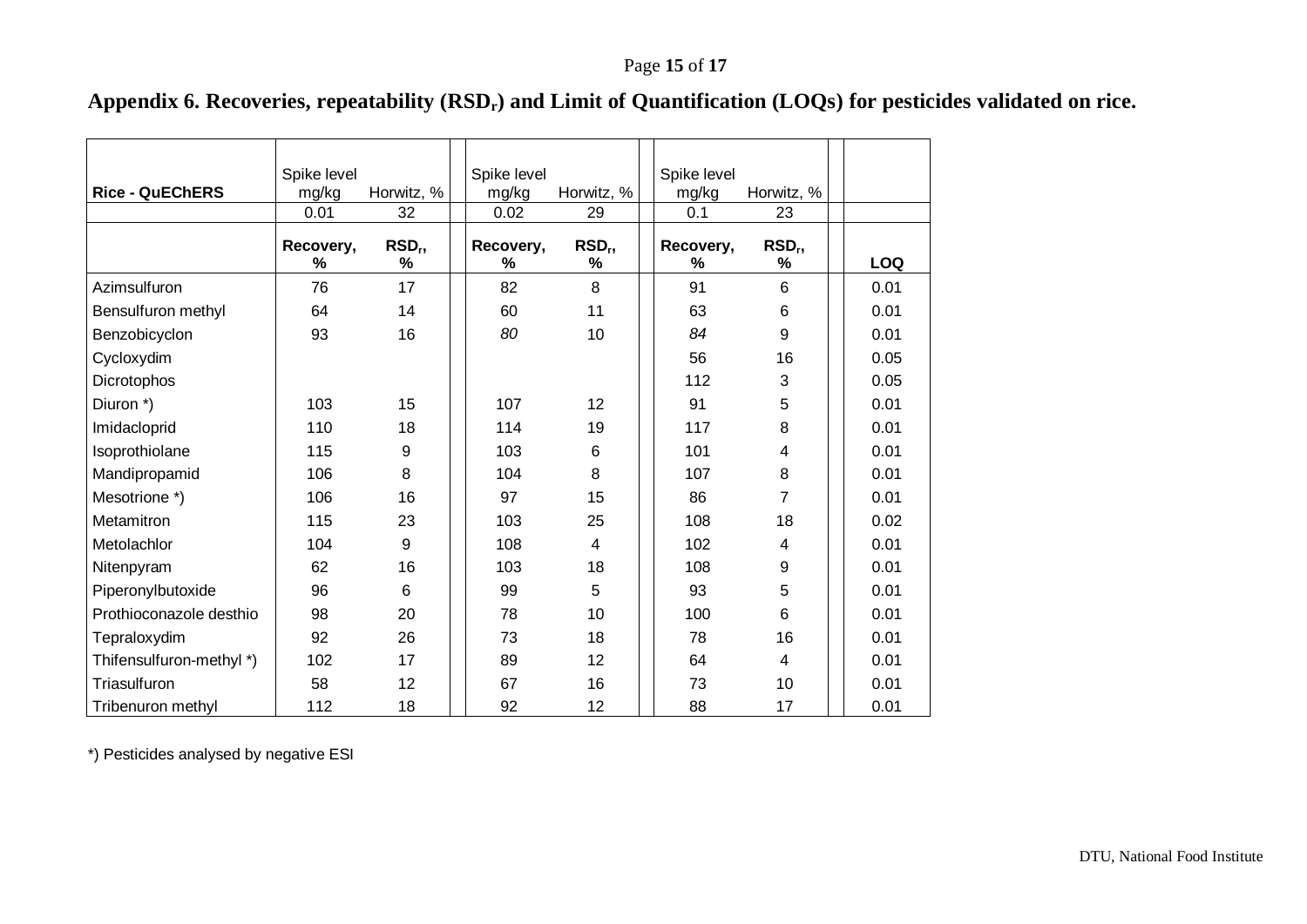# **Appendix 6. Recoveries, repeatability (RSDr) and Limit of Quantification (LOQs) for pesticides validated on rice.**

<span id="page-14-0"></span>

| <b>Rice - QuEChERS</b>   | Spike level<br>mg/kg | Horwitz, %              | Spike level<br>mg/kg | Horwitz, %              | Spike level<br>mg/kg | Horwitz, %              |            |
|--------------------------|----------------------|-------------------------|----------------------|-------------------------|----------------------|-------------------------|------------|
|                          | 0.01                 | 32                      | 0.02                 | 29                      | 0.1                  | 23                      |            |
|                          | Recovery,<br>%       | RSD <sub>r</sub> ,<br>% | Recovery,<br>%       | RSD <sub>r</sub> ,<br>% | Recovery,<br>℅       | RSD <sub>r</sub> ,<br>% | <b>LOQ</b> |
| Azimsulfuron             | 76                   | 17                      | 82                   | 8                       | 91                   | 6                       | 0.01       |
| Bensulfuron methyl       | 64                   | 14                      | 60                   | 11                      | 63                   | 6                       | 0.01       |
| Benzobicyclon            | 93                   | 16                      | 80                   | 10                      | 84                   | 9                       | 0.01       |
| Cycloxydim               |                      |                         |                      |                         | 56                   | 16                      | 0.05       |
| Dicrotophos              |                      |                         |                      |                         | 112                  | 3                       | 0.05       |
| Diuron *)                | 103                  | 15                      | 107                  | 12                      | 91                   | 5                       | 0.01       |
| Imidacloprid             | 110                  | 18                      | 114                  | 19                      | 117                  | 8                       | 0.01       |
| Isoprothiolane           | 115                  | 9                       | 103                  | 6                       | 101                  | 4                       | 0.01       |
| Mandipropamid            | 106                  | 8                       | 104                  | 8                       | 107                  | 8                       | 0.01       |
| Mesotrione *)            | 106                  | 16                      | 97                   | 15                      | 86                   | 7                       | 0.01       |
| Metamitron               | 115                  | 23                      | 103                  | 25                      | 108                  | 18                      | 0.02       |
| Metolachlor              | 104                  | 9                       | 108                  | 4                       | 102                  | 4                       | 0.01       |
| Nitenpyram               | 62                   | 16                      | 103                  | 18                      | 108                  | 9                       | 0.01       |
| Piperonylbutoxide        | 96                   | 6                       | 99                   | 5                       | 93                   | 5                       | 0.01       |
| Prothioconazole desthio  | 98                   | 20                      | 78                   | 10                      | 100                  | 6                       | 0.01       |
| Tepraloxydim             | 92                   | 26                      | 73                   | 18                      | 78                   | 16                      | 0.01       |
| Thifensulfuron-methyl *) | 102                  | 17                      | 89                   | 12                      | 64                   | 4                       | 0.01       |
| Triasulfuron             | 58                   | 12                      | 67                   | 16                      | 73                   | 10                      | 0.01       |
| Tribenuron methyl        | 112                  | 18                      | 92                   | 12                      | 88                   | 17                      | 0.01       |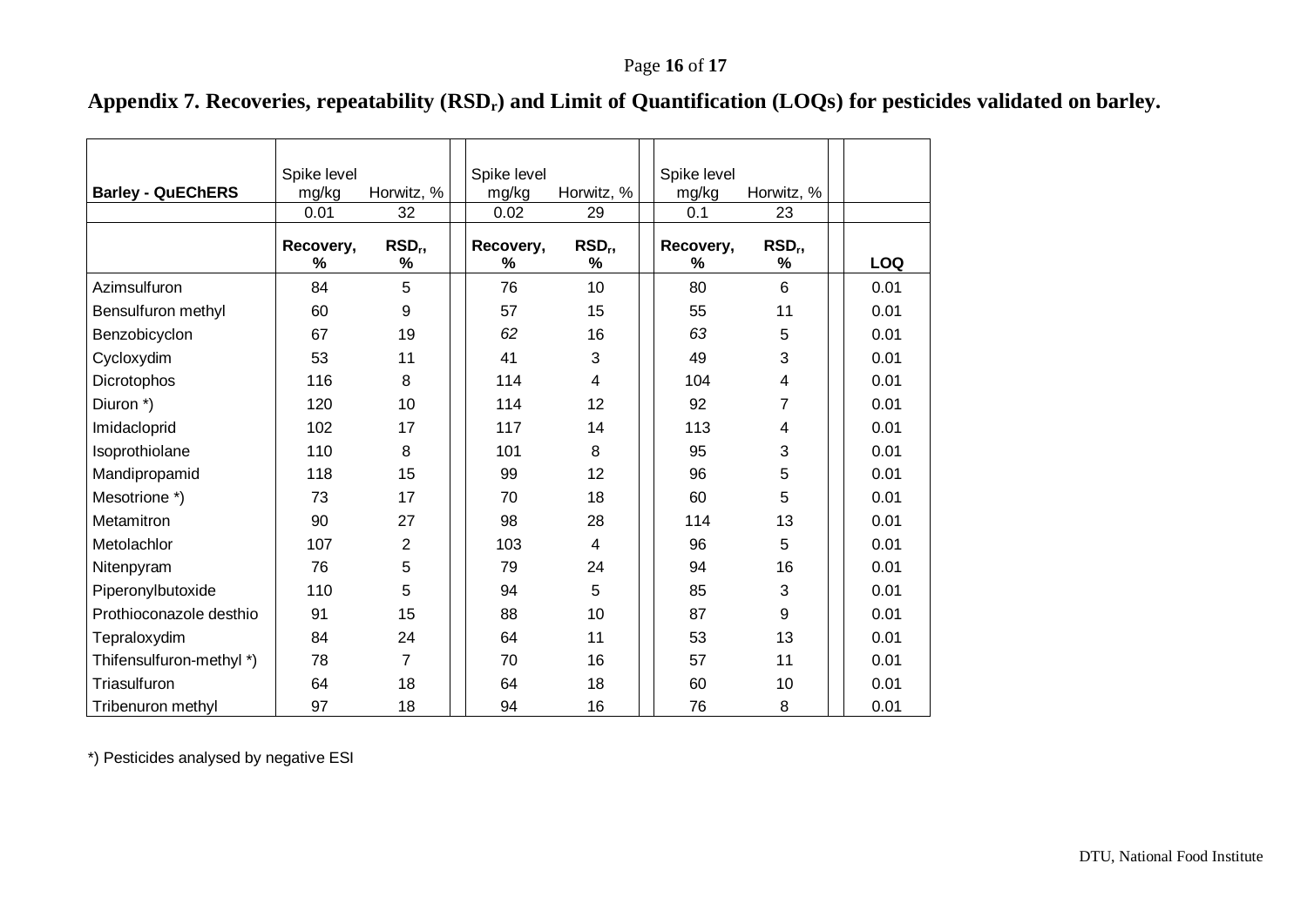# **Appendix 7. Recoveries, repeatability (RSDr) and Limit of Quantification (LOQs) for pesticides validated on barley.**

<span id="page-15-0"></span>

| <b>Barley - QuEChERS</b> | Spike level   |                    | Spike level   |                    | Spike level  |                    |            |
|--------------------------|---------------|--------------------|---------------|--------------------|--------------|--------------------|------------|
|                          | mg/kg<br>0.01 | Horwitz, %<br>32   | mg/kg<br>0.02 | Horwitz, %<br>29   | mg/kg<br>0.1 | Horwitz, %<br>23   |            |
|                          |               |                    |               |                    |              |                    |            |
|                          | Recovery,     | RSD <sub>r</sub> , | Recovery,     | RSD <sub>r</sub> , | Recovery,    | RSD <sub>r</sub> , |            |
|                          | %             | %                  | %             | %                  | ℅            | %                  | <b>LOQ</b> |
| Azimsulfuron             | 84            | 5                  | 76            | 10                 | 80           | 6                  | 0.01       |
| Bensulfuron methyl       | 60            | 9                  | 57            | 15                 | 55           | 11                 | 0.01       |
| Benzobicyclon            | 67            | 19                 | 62            | 16                 | 63           | 5                  | 0.01       |
| Cycloxydim               | 53            | 11                 | 41            | 3                  | 49           | 3                  | 0.01       |
| Dicrotophos              | 116           | 8                  | 114           | 4                  | 104          | 4                  | 0.01       |
| Diuron *)                | 120           | 10                 | 114           | 12                 | 92           | 7                  | 0.01       |
| Imidacloprid             | 102           | 17                 | 117           | 14                 | 113          | 4                  | 0.01       |
| Isoprothiolane           | 110           | 8                  | 101           | 8                  | 95           | 3                  | 0.01       |
| Mandipropamid            | 118           | 15                 | 99            | 12                 | 96           | 5                  | 0.01       |
| Mesotrione *)            | 73            | 17                 | 70            | 18                 | 60           | 5                  | 0.01       |
| Metamitron               | 90            | 27                 | 98            | 28                 | 114          | 13                 | 0.01       |
| Metolachlor              | 107           | $\overline{2}$     | 103           | 4                  | 96           | 5                  | 0.01       |
| Nitenpyram               | 76            | 5                  | 79            | 24                 | 94           | 16                 | 0.01       |
| Piperonylbutoxide        | 110           | 5                  | 94            | 5                  | 85           | 3                  | 0.01       |
| Prothioconazole desthio  | 91            | 15                 | 88            | 10                 | 87           | 9                  | 0.01       |
| Tepraloxydim             | 84            | 24                 | 64            | 11                 | 53           | 13                 | 0.01       |
| Thifensulfuron-methyl *) | 78            | 7                  | 70            | 16                 | 57           | 11                 | 0.01       |
| Triasulfuron             | 64            | 18                 | 64            | 18                 | 60           | 10                 | 0.01       |
| Tribenuron methyl        | 97            | 18                 | 94            | 16                 | 76           | 8                  | 0.01       |